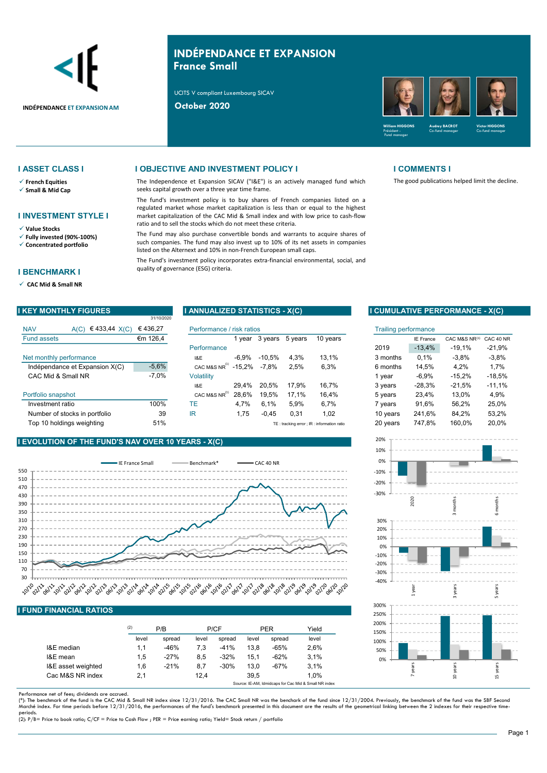

# INDÉPENDANCE ET EXPANSION France Small

UCITS V compliant Luxembourg SICAV



- 
- 

## I INVESTMENT STYLE I

- 
- 

### I BENCHMARK I

CAC Mid & Small NR

### **I ASSET CLASS I I OBJECTIVE AND INVESTMENT POLICY I I COMMENTS I**

 $\checkmark$  French Equities **Example 20** The Independence et Expansion SICAV ("I&E") is an actively managed fund which  $\checkmark$  Small & Mid Cap seeks capital growth over a three year time frame. seeks capital growth over a three year time frame.

Value Stocks<br>Value Stocks<br>View the Fund may also purchase convertible bonds and warrants to acquire shares of

 $\sqrt{\ }$  Fully invested (90%-100%) The Fund may also purchase convertible bonds and warrants to acquire shares of  $\sqrt{\ }$  Concentrated portfolio such companies. The fund may also invest up to 10% of its net as<br>listed on the Alternext and 10% in non-French European small caps.

| I KEY MONTHLY FIGURES              | 31/10/2020                | I ANNUALIZED STATISTICS - X(C) |          |          |                             |                                             |          |                  | I CUMULATIVE PERFORMANCE - X(C) |           |
|------------------------------------|---------------------------|--------------------------------|----------|----------|-----------------------------|---------------------------------------------|----------|------------------|---------------------------------|-----------|
| €433,44 X(C)<br><b>NAV</b><br>A(C) | Performance / risk ratios |                                |          |          | <b>Trailing performance</b> |                                             |          |                  |                                 |           |
| <b>Fund assets</b>                 | €m 126,4                  |                                | l vear   | 3 years  | 5 years                     | 10 years                                    |          | <b>IE France</b> | CAC M&S NR(1)                   | CAC 40 NR |
|                                    |                           | Performance                    |          |          |                             |                                             | 2019     | $-13.4%$         | $-19.1%$                        | $-21.9%$  |
| Net monthly performance            |                           | 1&E                            | $-6.9\%$ | $-10.5%$ | 4.3%                        | 13.1%                                       | 3 months | 0.1%             | $-3.8%$                         | $-3.8\%$  |
| Indépendance et Expansion X(C)     | $-5,6%$                   | CAC M&S NR <sup>(1)</sup>      | $-15.2%$ | $-7,8%$  | 2,5%                        | 6,3%                                        | 6 months | 14.5%            | 4,2%                            | 1,7%      |
| CAC Mid & Small NR                 | $-7,0%$                   | <b>Volatility</b>              |          |          |                             |                                             | vear     | $-6.9%$          | $-15.2%$                        | $-18,5%$  |
|                                    |                           | 18E                            | 29.4%    | 20.5%    | 17.9%                       | 16.7%                                       | 3 years  | $-28.3%$         | $-21.5%$                        | $-11.1%$  |
| Portfolio snapshot                 |                           | CAC M&S NR <sup>(1)</sup>      | 28.6%    | 19.5%    | 17.1%                       | 16.4%                                       | 5 years  | 23.4%            | 13.0%                           | 4,9%      |
| Investment ratio                   | 100%                      | TE                             | 4.7%     | 6.1%     | 5.9%                        | 6.7%                                        | 7 years  | 91.6%            | 56.2%                           | 25.0%     |
| Number of stocks in portfolio      | 39                        | ΙR                             | 1,75     | $-0.45$  | 0,31                        | 1,02                                        | 10 years | 241.6%           | 84,2%                           | 53,2%     |
| Top 10 holdings weighting          | 51%                       |                                |          |          |                             | TE: tracking error ; IR : information ratio | 20 years | 747.8%           | 160.0%                          | 20.0%     |

## I EVOLUTION OF THE FUND'S NAV OVER 10 YEARS - X(C)



### I FUND FINANCIAL RATIOS

|                    | (2)   | P/B    |       | P/CF   |       | <b>PER</b> | Yield |
|--------------------|-------|--------|-------|--------|-------|------------|-------|
|                    | level | spread | level | spread | level | spread     | level |
| I&E median         | 1.1   | $-46%$ | 7.3   | $-41%$ | 13.8  | $-65%$     | 2.6%  |
| I&E mean           | 1.5   | $-27%$ | 8.5   | $-32%$ | 15.1  | $-62%$     | 3.1%  |
| I&E asset weighted | 1,6   | $-21%$ | 8,7   | $-30%$ | 13.0  | $-67%$     | 3.1%  |
| Cac M&S NR index   | 2,1   |        | 12.4  |        | 39.5  |            | 1.0%  |

The good publications helped limit the decline.

### **I CUMULATIVE PERFORMANCE - X(C)**

| isk ratios |          |         |                                                | <b>Trailing performance</b> |                  |               |           |
|------------|----------|---------|------------------------------------------------|-----------------------------|------------------|---------------|-----------|
| 1 year     | 3 years  | 5 years | 10 years                                       |                             | <b>IE France</b> | CAC M&S NR(1) | CAC 40 NR |
|            |          |         |                                                | 2019                        | $-13,4%$         | $-19.1%$      | $-21,9%$  |
| $-6,9%$    | $-10.5%$ | 4.3%    | 13.1%                                          | 3 months                    | 0.1%             | $-3.8%$       | $-3.8%$   |
| -15,2%     | $-7.8%$  | 2.5%    | 6,3%                                           | 6 months                    | 14,5%            | 4.2%          | 1,7%      |
|            |          |         |                                                | 1 year                      | $-6.9%$          | $-15.2%$      | $-18.5%$  |
| 29,4%      | 20.5%    | 17.9%   | 16.7%                                          | 3 years                     | $-28.3%$         | $-21.5%$      | $-11,1%$  |
| 28,6%      | 19.5%    | 17,1%   | 16,4%                                          | 5 years                     | 23.4%            | 13.0%         | 4.9%      |
| 4,7%       | 6,1%     | 5.9%    | 6,7%                                           | 7 years                     | 91.6%            | 56.2%         | 25,0%     |
| 1,75       | $-0.45$  | 0,31    | 1,02                                           | 10 years                    | 241,6%           | 84,2%         | 53,2%     |
|            |          |         | $TF:$ tracking error : IR : information ratio. | 20 vears                    | 747 8%           | 160.0%        | 20.0%     |



Performance net of fees; dividends are accrued.

(\*): The benchmark of the fund is the CAC Mid & Small NR index since 12/31/2016. The CAC Small NR was the benchark of the fund since 12/31/2004. Previously, the benchmark of the fund was the SBF Second<br>Marché index. For ti

periods. (2): P/B= Price to book ratio; C/CF = Price to Cash Flow ; PER = Price earning ratio; Yield= Stock return / portfolio